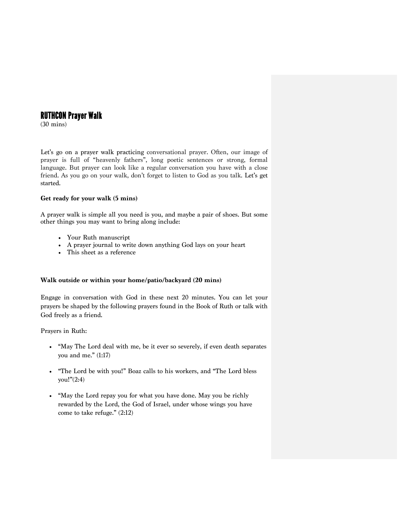# RUTHCON Prayer Walk

(30 mins)

Let's go on a prayer walk practicing conversational prayer. Often, our image of prayer is full of "heavenly fathers", long poetic sentences or strong, formal language. But prayer can look like a regular conversation you have with a close friend. As you go on your walk, don't forget to listen to God as you talk. Let's get started.

### **Get ready for your walk (5 mins)**

A prayer walk is simple all you need is you, and maybe a pair of shoes. But some other things you may want to bring along include:

- Your Ruth manuscript
- A prayer journal to write down anything God lays on your heart
- This sheet as a reference

## **Walk outside or within your home/patio/backyard (20 mins)**

Engage in conversation with God in these next 20 minutes. You can let your prayers be shaped by the following prayers found in the Book of Ruth or talk with God freely as a friend.

Prayers in Ruth:

- "May The Lord deal with me, be it ever so severely, if even death separates you and me." (1:17)
- "The Lord be with you!" Boaz calls to his workers, and "The Lord bless you!"(2:4)
- "May the Lord repay you for what you have done. May you be richly rewarded by the Lord, the God of Israel, under whose wings you have come to take refuge." (2:12)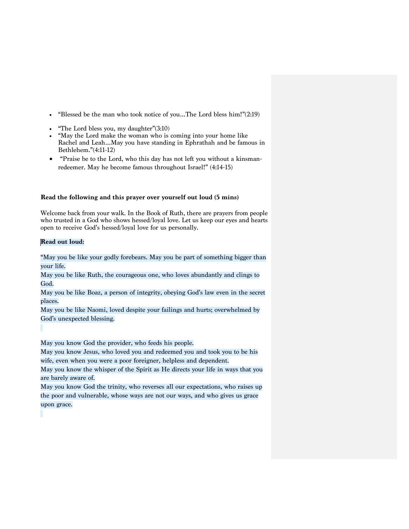- "Blessed be the man who took notice of you…The Lord bless him!"(2:19)
- "The Lord bless you, my daughter" $(3:10)$
- "May the Lord make the woman who is coming into your home like Rachel and Leah…May you have standing in Ephrathah and be famous in Bethlehem."(4:11-12)
- "Praise be to the Lord, who this day has not left you without a kinsmanredeemer. May he become famous throughout Israel!" (4:14-15)

#### **Read the following and this prayer over yourself out loud (5 mins)**

Welcome back from your walk. In the Book of Ruth, there are prayers from people who trusted in a God who shows hessed/loyal love. Let us keep our eyes and hearts open to receive God's hessed/loyal love for us personally.

#### **Read out loud:**

"May you be like your godly forebears. May you be part of something bigger than your life.

May you be like Ruth, the courageous one, who loves abundantly and clings to God.

May you be like Boaz, a person of integrity, obeying God's law even in the secret places.

May you be like Naomi, loved despite your failings and hurts; overwhelmed by God's unexpected blessing.

May you know God the provider, who feeds his people.

May you know Jesus, who loved you and redeemed you and took you to be his wife, even when you were a poor foreigner, helpless and dependent.

May you know the whisper of the Spirit as He directs your life in ways that you are barely aware of.

May you know God the trinity, who reverses all our expectations, who raises up the poor and vulnerable, whose ways are not our ways, and who gives us grace upon grace.